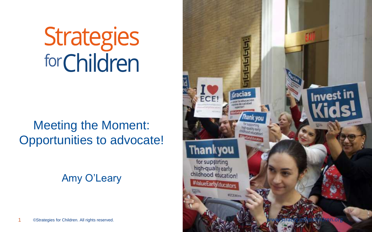# **Strategies**<br>forChildren

# Meeting the Moment: Opportunities to advocate!

Amy O'Leary

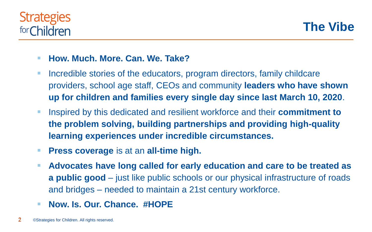## **Strategies** for Children

**The Vibe**

### ▪ **How. Much. More. Can. We. Take?**

- Incredible stories of the educators, program directors, family childcare providers, school age staff, CEOs and community **leaders who have shown up for children and families every single day since last March 10, 2020**.
- Inspired by this dedicated and resilient workforce and their **commitment to the problem solving, building partnerships and providing high-quality learning experiences under incredible circumstances.**
- **Press coverage** is at an **all-time high.**
- Advocates have long called for early education and care to be treated as **a public good** – just like public schools or our physical infrastructure of roads and bridges – needed to maintain a 21st century workforce.
- **Now. Is. Our. Chance. #HOPE**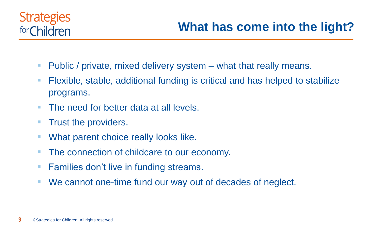## **Strategies** for Children

## **What has come into the light?**

- $\blacksquare$  Public / private, mixed delivery system  $-$  what that really means.
- Flexible, stable, additional funding is critical and has helped to stabilize programs.
- The need for better data at all levels.
- **Trust the providers.**
- What parent choice really looks like.
- The connection of childcare to our economy.
- Families don't live in funding streams.
- We cannot one-time fund our way out of decades of neglect.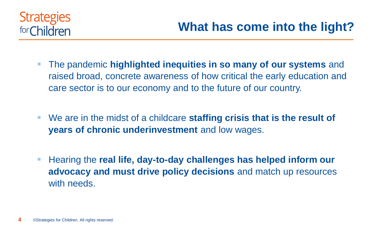

- The pandemic **highlighted inequities in so many of our systems** and raised broad, concrete awareness of how critical the early education and care sector is to our economy and to the future of our country.
- We are in the midst of a childcare **staffing crisis that is the result of years of chronic underinvestment** and low wages.
- Hearing the **real life, day-to-day challenges has helped inform our advocacy and must drive policy decisions** and match up resources with needs.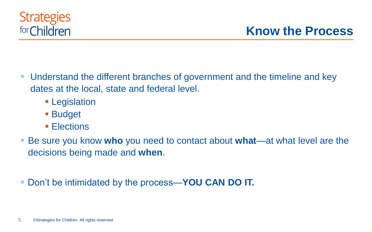- Understand the different branches of government and the timeline and key dates at the local, state and federal level.
	- Legislation
	- Budget
	- Elections
- Be sure you know who you need to contact about what—at what level are the decisions being made and **when**.
- Don't be intimidated by the process—**YOU CAN DO IT.**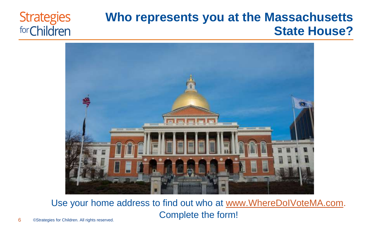#### **Strategies Who represents you at the Massachusetts**  for Children



**State House?**

Use your home address to find out who at [www.WhereDoIVoteMA.com.](http://www.wheredoivotema.com/) Complete the form!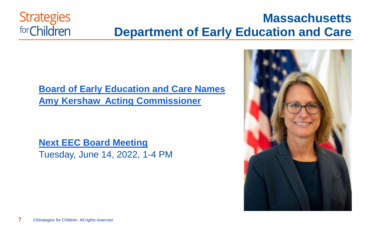## **Massachusetts Department of Early Education and Care**

## **[Board of Early Education and Care Names](https://www.mass.gov/news/board-of-early-education-and-care-names-amy-kershaw-acting-commissioner)  Amy Kershaw Acting Commissioner**

**[Next EEC Board Meeting](https://www.mass.gov/service-details/board-of-early-education-and-care-fiscal-year-2022-meetings)**  Tuesday, June 14, 2022, 1-4 PM



**Strategies** 

for Children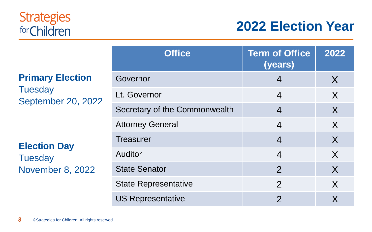## **Strategies** for Children

# **2022 Election Year**

**Primary Election Tuesday** September 20, 2022

**Election Day Tuesday** November 8, 2022

| <b>Office</b>                 | <b>Term of Office</b><br>(years) | 2022 |
|-------------------------------|----------------------------------|------|
| Governor                      | $\overline{4}$                   | X    |
| Lt. Governor                  | $\overline{4}$                   | X    |
| Secretary of the Commonwealth | $\overline{4}$                   | X    |
| <b>Attorney General</b>       | $\overline{4}$                   | X    |
| <b>Treasurer</b>              | $\overline{4}$                   | X    |
| <b>Auditor</b>                | $\overline{4}$                   | X    |
| <b>State Senator</b>          | $\overline{2}$                   | X    |
| <b>State Representative</b>   | 2                                | X    |
| <b>US Representative</b>      | $\overline{2}$                   | X    |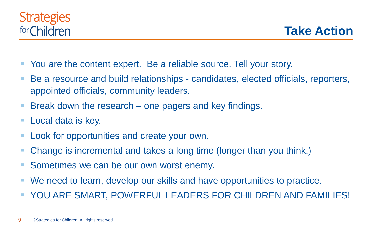

**Take Action**

- You are the content expert. Be a reliable source. Tell your story.
- Be a resource and build relationships candidates, elected officials, reporters, appointed officials, community leaders.
- Break down the research one pagers and key findings.
- Local data is key.
- Look for opportunities and create your own.
- Change is incremental and takes a long time (longer than you think.)
- Sometimes we can be our own worst enemy.
- We need to learn, develop our skills and have opportunities to practice.
- YOU ARE SMART, POWERFUL LEADERS FOR CHILDREN AND FAMILIES!